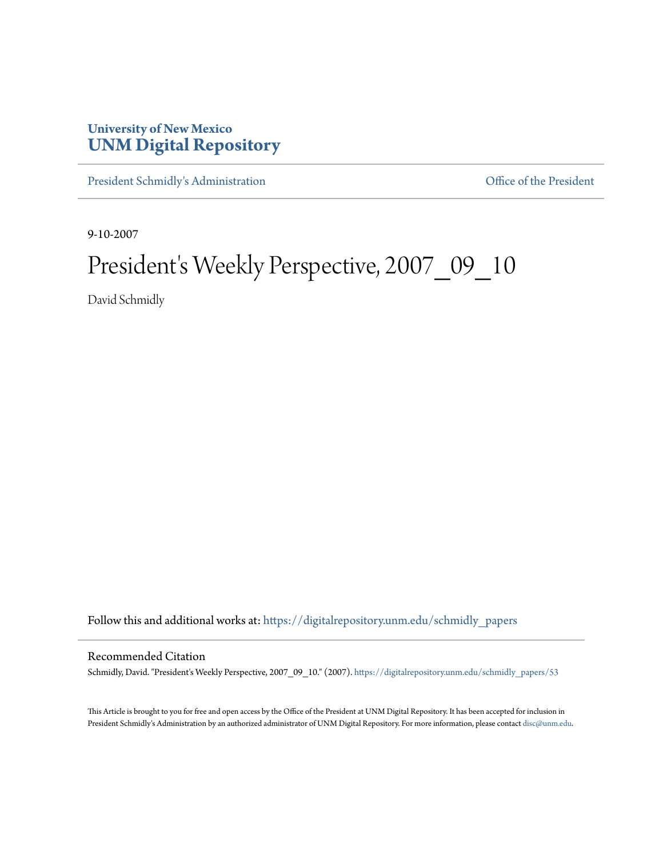## **University of New Mexico [UNM Digital Repository](https://digitalrepository.unm.edu?utm_source=digitalrepository.unm.edu%2Fschmidly_papers%2F53&utm_medium=PDF&utm_campaign=PDFCoverPages)**

[President Schmidly's Administration](https://digitalrepository.unm.edu/schmidly_papers?utm_source=digitalrepository.unm.edu%2Fschmidly_papers%2F53&utm_medium=PDF&utm_campaign=PDFCoverPages) [Office of the President](https://digitalrepository.unm.edu/ofc_president?utm_source=digitalrepository.unm.edu%2Fschmidly_papers%2F53&utm_medium=PDF&utm_campaign=PDFCoverPages)

9-10-2007

## President's Weekly Perspective, 2007\_09\_10

David Schmidly

Follow this and additional works at: [https://digitalrepository.unm.edu/schmidly\\_papers](https://digitalrepository.unm.edu/schmidly_papers?utm_source=digitalrepository.unm.edu%2Fschmidly_papers%2F53&utm_medium=PDF&utm_campaign=PDFCoverPages)

## Recommended Citation

Schmidly, David. "President's Weekly Perspective, 2007\_09\_10." (2007). [https://digitalrepository.unm.edu/schmidly\\_papers/53](https://digitalrepository.unm.edu/schmidly_papers/53?utm_source=digitalrepository.unm.edu%2Fschmidly_papers%2F53&utm_medium=PDF&utm_campaign=PDFCoverPages)

This Article is brought to you for free and open access by the Office of the President at UNM Digital Repository. It has been accepted for inclusion in President Schmidly's Administration by an authorized administrator of UNM Digital Repository. For more information, please contact [disc@unm.edu](mailto:disc@unm.edu).